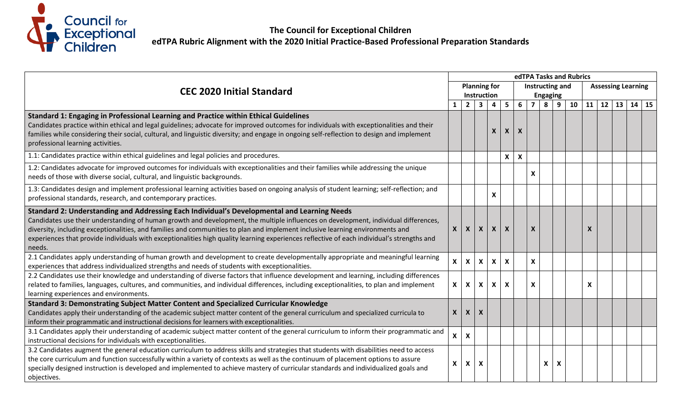

|                                                                                                                                                                                                                                                                                                                                                                                                                                                                                                                             |                    |                           |                           | edTPA Tasks and Rubrics   |                           |                           |                           |                 |   |    |                           |    |    |       |  |  |
|-----------------------------------------------------------------------------------------------------------------------------------------------------------------------------------------------------------------------------------------------------------------------------------------------------------------------------------------------------------------------------------------------------------------------------------------------------------------------------------------------------------------------------|--------------------|---------------------------|---------------------------|---------------------------|---------------------------|---------------------------|---------------------------|-----------------|---|----|---------------------------|----|----|-------|--|--|
| <b>CEC 2020 Initial Standard</b>                                                                                                                                                                                                                                                                                                                                                                                                                                                                                            |                    | <b>Planning for</b>       |                           |                           |                           |                           | Instructing and           |                 |   |    | <b>Assessing Learning</b> |    |    |       |  |  |
|                                                                                                                                                                                                                                                                                                                                                                                                                                                                                                                             |                    |                           | Instruction               |                           |                           |                           |                           | <b>Engaging</b> |   |    |                           |    |    |       |  |  |
|                                                                                                                                                                                                                                                                                                                                                                                                                                                                                                                             |                    | $\overline{2}$            | $\overline{\mathbf{3}}$   | $\overline{\mathbf{4}}$   | $5\phantom{a}$            | $6\phantom{1}$            | $\overline{\mathbf{z}}$   | 8               | 9 | 10 | 11                        | 12 | 13 | 14 15 |  |  |
| Standard 1: Engaging in Professional Learning and Practice within Ethical Guidelines<br>Candidates practice within ethical and legal guidelines; advocate for improved outcomes for individuals with exceptionalities and their<br>families while considering their social, cultural, and linguistic diversity; and engage in ongoing self-reflection to design and implement<br>professional learning activities.                                                                                                          |                    |                           |                           | X                         | $\boldsymbol{X}$          | $\boldsymbol{\mathsf{X}}$ |                           |                 |   |    |                           |    |    |       |  |  |
| 1.1: Candidates practice within ethical guidelines and legal policies and procedures.                                                                                                                                                                                                                                                                                                                                                                                                                                       |                    |                           |                           |                           | X                         | $\boldsymbol{\mathsf{x}}$ |                           |                 |   |    |                           |    |    |       |  |  |
| 1.2: Candidates advocate for improved outcomes for individuals with exceptionalities and their families while addressing the unique<br>needs of those with diverse social, cultural, and linguistic backgrounds.                                                                                                                                                                                                                                                                                                            |                    |                           |                           |                           |                           |                           | X                         |                 |   |    |                           |    |    |       |  |  |
| 1.3: Candidates design and implement professional learning activities based on ongoing analysis of student learning; self-reflection; and<br>professional standards, research, and contemporary practices.                                                                                                                                                                                                                                                                                                                  |                    |                           |                           | $\pmb{\mathsf{X}}$        |                           |                           |                           |                 |   |    |                           |    |    |       |  |  |
| Standard 2: Understanding and Addressing Each Individual's Developmental and Learning Needs<br>Candidates use their understanding of human growth and development, the multiple influences on development, individual differences,<br>diversity, including exceptionalities, and families and communities to plan and implement inclusive learning environments and<br>experiences that provide individuals with exceptionalities high quality learning experiences reflective of each individual's strengths and<br>needs. | $\mathsf{X}$       | $\mathsf{x}$              | $\mathsf{x}$              | $\boldsymbol{X}$          | $\boldsymbol{x}$          |                           | X                         |                 |   |    |                           |    |    |       |  |  |
| 2.1 Candidates apply understanding of human growth and development to create developmentally appropriate and meaningful learning<br>experiences that address individualized strengths and needs of students with exceptionalities.                                                                                                                                                                                                                                                                                          | $\mathbf{x}$       | $\mathsf{x}$              | $\mathsf{x}$              | $\boldsymbol{\mathsf{X}}$ | $\boldsymbol{X}$          |                           | X                         |                 |   |    |                           |    |    |       |  |  |
| 2.2 Candidates use their knowledge and understanding of diverse factors that influence development and learning, including differences<br>related to families, languages, cultures, and communities, and individual differences, including exceptionalities, to plan and implement<br>learning experiences and environments.                                                                                                                                                                                                | $\mathsf{X}$       | $\mathsf{x}$              | $\mathsf{x}$              | $\boldsymbol{\mathsf{X}}$ | $\boldsymbol{\mathsf{x}}$ |                           | $\boldsymbol{\mathsf{X}}$ |                 |   |    | X                         |    |    |       |  |  |
| Standard 3: Demonstrating Subject Matter Content and Specialized Curricular Knowledge                                                                                                                                                                                                                                                                                                                                                                                                                                       |                    |                           |                           |                           |                           |                           |                           |                 |   |    |                           |    |    |       |  |  |
| Candidates apply their understanding of the academic subject matter content of the general curriculum and specialized curricula to<br>inform their programmatic and instructional decisions for learners with exceptionalities.                                                                                                                                                                                                                                                                                             | $\boldsymbol{X}$   | $\mathsf{x}$              | $\boldsymbol{X}$          |                           |                           |                           |                           |                 |   |    |                           |    |    |       |  |  |
| 3.1 Candidates apply their understanding of academic subject matter content of the general curriculum to inform their programmatic and<br>instructional decisions for individuals with exceptionalities.                                                                                                                                                                                                                                                                                                                    | X                  | $\boldsymbol{\mathsf{X}}$ |                           |                           |                           |                           |                           |                 |   |    |                           |    |    |       |  |  |
| 3.2 Candidates augment the general education curriculum to address skills and strategies that students with disabilities need to access<br>the core curriculum and function successfully within a variety of contexts as well as the continuum of placement options to assure<br>specially designed instruction is developed and implemented to achieve mastery of curricular standards and individualized goals and<br>objectives.                                                                                         | $\pmb{\mathsf{X}}$ | X                         | $\boldsymbol{\mathsf{X}}$ |                           |                           |                           |                           | X               | X |    |                           |    |    |       |  |  |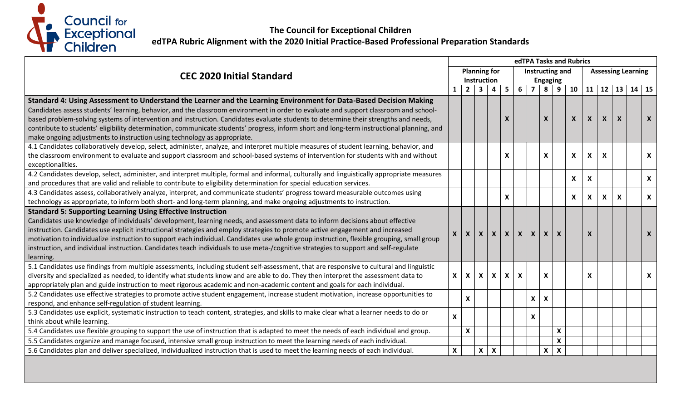

|                                                                                                                                                                                                   |              |                           |                |                           | edTPA Tasks and Rubrics   |                           |                |                           |                           |                           |                           |                           |                           |  |                                      |  |
|---------------------------------------------------------------------------------------------------------------------------------------------------------------------------------------------------|--------------|---------------------------|----------------|---------------------------|---------------------------|---------------------------|----------------|---------------------------|---------------------------|---------------------------|---------------------------|---------------------------|---------------------------|--|--------------------------------------|--|
| <b>CEC 2020 Initial Standard</b>                                                                                                                                                                  |              |                           |                | <b>Planning for</b>       |                           | Instructing and           |                |                           |                           |                           |                           | <b>Assessing Learning</b> |                           |  |                                      |  |
|                                                                                                                                                                                                   |              |                           |                | Instruction               |                           |                           |                |                           | <b>Engaging</b>           |                           |                           |                           |                           |  |                                      |  |
|                                                                                                                                                                                                   | $\mathbf{1}$ | $\overline{2}$            | 3 <sup>1</sup> | $\overline{\mathbf{4}}$   | 5 <sup>5</sup>            | $6\overline{6}$           | $\overline{7}$ | 8                         | 9 <sup>1</sup>            | $10-1$                    |                           |                           |                           |  | $11 \mid 12 \mid 13 \mid 14 \mid 15$ |  |
| Standard 4: Using Assessment to Understand the Learner and the Learning Environment for Data-Based Decision Making                                                                                |              |                           |                |                           |                           |                           |                |                           |                           |                           |                           |                           |                           |  |                                      |  |
| Candidates assess students' learning, behavior, and the classroom environment in order to evaluate and support classroom and school-                                                              |              |                           |                |                           |                           |                           |                |                           |                           |                           |                           |                           |                           |  |                                      |  |
| based problem-solving systems of intervention and instruction. Candidates evaluate students to determine their strengths and needs,                                                               |              |                           |                |                           | $\boldsymbol{X}$          |                           |                | $\boldsymbol{X}$          |                           | $\mathsf{X}$              | $\boldsymbol{X}$          | $\mathsf{x}$              | $\boldsymbol{X}$          |  | $\mathsf{X}$                         |  |
| contribute to students' eligibility determination, communicate students' progress, inform short and long-term instructional planning, and                                                         |              |                           |                |                           |                           |                           |                |                           |                           |                           |                           |                           |                           |  |                                      |  |
| make ongoing adjustments to instruction using technology as appropriate.                                                                                                                          |              |                           |                |                           |                           |                           |                |                           |                           |                           |                           |                           |                           |  |                                      |  |
| 4.1 Candidates collaboratively develop, select, administer, analyze, and interpret multiple measures of student learning, behavior, and                                                           |              |                           |                |                           |                           |                           |                |                           |                           |                           |                           |                           |                           |  |                                      |  |
| the classroom environment to evaluate and support classroom and school-based systems of intervention for students with and without                                                                |              |                           |                |                           | $\boldsymbol{\mathsf{x}}$ |                           |                | X                         |                           | $\boldsymbol{\mathsf{X}}$ | $\boldsymbol{\mathsf{X}}$ | X                         |                           |  | $\mathsf{X}$                         |  |
| exceptionalities.                                                                                                                                                                                 |              |                           |                |                           |                           |                           |                |                           |                           |                           |                           |                           |                           |  |                                      |  |
| 4.2 Candidates develop, select, administer, and interpret multiple, formal and informal, culturally and linguistically appropriate measures                                                       |              |                           |                |                           |                           |                           |                |                           |                           | X                         | $\boldsymbol{\mathsf{x}}$ |                           |                           |  | $\mathsf{X}$                         |  |
| and procedures that are valid and reliable to contribute to eligibility determination for special education services.                                                                             |              |                           |                |                           |                           |                           |                |                           |                           |                           |                           |                           |                           |  |                                      |  |
| 4.3 Candidates assess, collaboratively analyze, interpret, and communicate students' progress toward measurable outcomes using                                                                    |              |                           |                |                           | $\boldsymbol{\mathsf{x}}$ |                           |                |                           |                           | X                         | X                         | X                         | $\boldsymbol{\mathsf{X}}$ |  | $\mathsf{X}^-$                       |  |
| technology as appropriate, to inform both short- and long-term planning, and make ongoing adjustments to instruction.                                                                             |              |                           |                |                           |                           |                           |                |                           |                           |                           |                           |                           |                           |  |                                      |  |
| <b>Standard 5: Supporting Learning Using Effective Instruction</b>                                                                                                                                |              |                           |                |                           |                           |                           |                |                           |                           |                           |                           |                           |                           |  |                                      |  |
| Candidates use knowledge of individuals' development, learning needs, and assessment data to inform decisions about effective                                                                     |              |                           |                |                           |                           |                           |                |                           |                           |                           |                           |                           |                           |  |                                      |  |
| instruction. Candidates use explicit instructional strategies and employ strategies to promote active engagement and increased                                                                    | <b>X</b>     | $\boldsymbol{X}$          | $\mathsf{X}$   | $\mathsf{X}$              | $\mathsf{X}$              | $\mathsf{X}$              | $\mathsf{x}$   | $\mathsf{x}$              | $\boldsymbol{X}$          |                           | X                         |                           |                           |  | $\mathsf{X}$                         |  |
| motivation to individualize instruction to support each individual. Candidates use whole group instruction, flexible grouping, small group                                                        |              |                           |                |                           |                           |                           |                |                           |                           |                           |                           |                           |                           |  |                                      |  |
| instruction, and individual instruction. Candidates teach individuals to use meta-/cognitive strategies to support and self-regulate                                                              |              |                           |                |                           |                           |                           |                |                           |                           |                           |                           |                           |                           |  |                                      |  |
| learning.                                                                                                                                                                                         |              |                           |                |                           |                           |                           |                |                           |                           |                           |                           |                           |                           |  |                                      |  |
| 5.1 Candidates use findings from multiple assessments, including student self-assessment, that are responsive to cultural and linguistic                                                          |              |                           |                |                           |                           |                           |                |                           |                           |                           |                           |                           |                           |  |                                      |  |
| diversity and specialized as needed, to identify what students know and are able to do. They then interpret the assessment data to                                                                | X            | $\boldsymbol{\mathsf{x}}$ | $\mathbf{x}$   | $\boldsymbol{\mathsf{X}}$ | $\mathsf{X}$              | $\boldsymbol{\mathsf{X}}$ |                | $\boldsymbol{\mathsf{x}}$ |                           |                           | X                         |                           |                           |  | $\mathsf{X}$                         |  |
| appropriately plan and guide instruction to meet rigorous academic and non-academic content and goals for each individual.                                                                        |              |                           |                |                           |                           |                           |                |                           |                           |                           |                           |                           |                           |  |                                      |  |
| 5.2 Candidates use effective strategies to promote active student engagement, increase student motivation, increase opportunities to<br>respond, and enhance self-regulation of student learning. |              | $\mathbf x$               |                |                           |                           |                           | $\mathsf{X}$   | $\boldsymbol{\mathsf{X}}$ |                           |                           |                           |                           |                           |  |                                      |  |
| 5.3 Candidates use explicit, systematic instruction to teach content, strategies, and skills to make clear what a learner needs to do or                                                          |              |                           |                |                           |                           |                           |                |                           |                           |                           |                           |                           |                           |  |                                      |  |
| think about while learning.                                                                                                                                                                       | $\mathbf{x}$ |                           |                |                           |                           |                           | X              |                           |                           |                           |                           |                           |                           |  |                                      |  |
| 5.4 Candidates use flexible grouping to support the use of instruction that is adapted to meet the needs of each individual and group.                                                            |              | $\pmb{\mathsf{X}}$        |                |                           |                           |                           |                |                           | $\boldsymbol{\mathsf{X}}$ |                           |                           |                           |                           |  |                                      |  |
| 5.5 Candidates organize and manage focused, intensive small group instruction to meet the learning needs of each individual.                                                                      |              |                           |                |                           |                           |                           |                |                           | $\boldsymbol{\mathsf{x}}$ |                           |                           |                           |                           |  |                                      |  |
| 5.6 Candidates plan and deliver specialized, individualized instruction that is used to meet the learning needs of each individual.                                                               |              |                           |                | $\boldsymbol{\mathsf{X}}$ |                           |                           |                |                           |                           |                           |                           |                           |                           |  |                                      |  |
|                                                                                                                                                                                                   | X            |                           | $\mathsf{x}$   |                           |                           |                           |                | $\boldsymbol{\mathsf{X}}$ | $\boldsymbol{\mathsf{X}}$ |                           |                           |                           |                           |  |                                      |  |
|                                                                                                                                                                                                   |              |                           |                |                           |                           |                           |                |                           |                           |                           |                           |                           |                           |  |                                      |  |
|                                                                                                                                                                                                   |              |                           |                |                           |                           |                           |                |                           |                           |                           |                           |                           |                           |  |                                      |  |